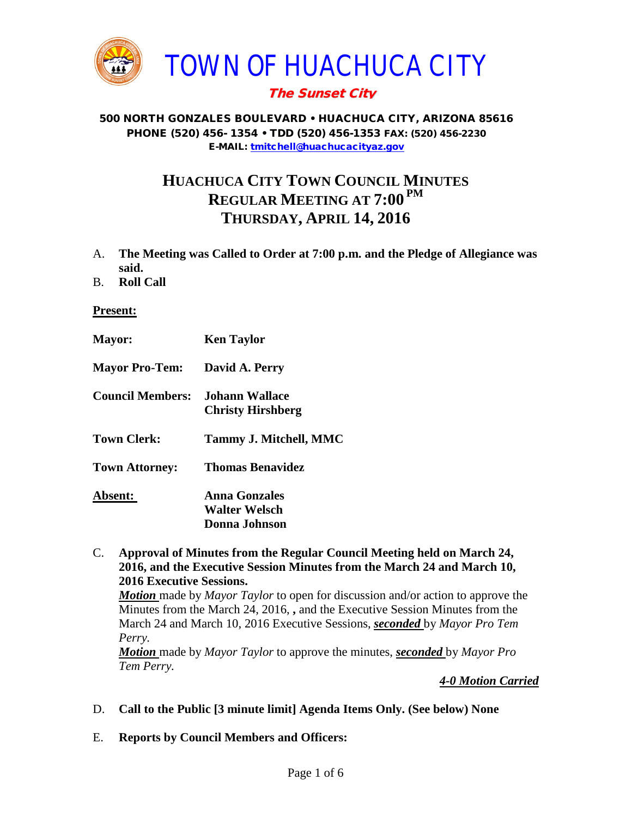

## The Sunset City

#### 500 NORTH GONZALES BOULEVARD • HUACHUCA CITY, ARIZONA 85616 PHONE (520) 456- 1354 • TDD (520) 456-1353 FAX: (520) 456-2230 E-MAIL: [tmitchell@huachucacityaz.gov](mailto:tmitchell@huachucacityaz.gov)

# **HUACHUCA CITY TOWN COUNCIL MINUTES REGULAR MEETING AT 7:00 PM THURSDAY, APRIL 14, 2016**

- A. **The Meeting was Called to Order at 7:00 p.m. and the Pledge of Allegiance was said.**
- B. **Roll Call**

**Present:**

| <b>Mayor:</b>           | <b>Ken Taylor</b>        |
|-------------------------|--------------------------|
| <b>Mayor Pro-Tem:</b>   | David A. Perry           |
| <b>Council Members:</b> | Johann Wallace           |
|                         | <b>Christy Hirshberg</b> |
| <b>Town Clerk:</b>      | Tammy J. Mitchell, MMC   |
| <b>Town Attorney:</b>   | <b>Thomas Benavidez</b>  |
| Absent:                 | Anna Gonzales            |
|                         | <b>Walter Welsch</b>     |
|                         | Donna Johnson            |

C. **Approval of Minutes from the Regular Council Meeting held on March 24, 2016, and the Executive Session Minutes from the March 24 and March 10, 2016 Executive Sessions.**

*Motion* made by *Mayor Taylor* to open for discussion and/or action to approve the Minutes from the March 24, 2016, **,** and the Executive Session Minutes from the March 24 and March 10, 2016 Executive Sessions, *seconded* by *Mayor Pro Tem Perry.*

*Motion* made by *Mayor Taylor* to approve the minutes, *seconded* by *Mayor Pro Tem Perry.*

*4-0 Motion Carried*

- D. **Call to the Public [3 minute limit] Agenda Items Only. (See below) None**
- E. **Reports by Council Members and Officers:**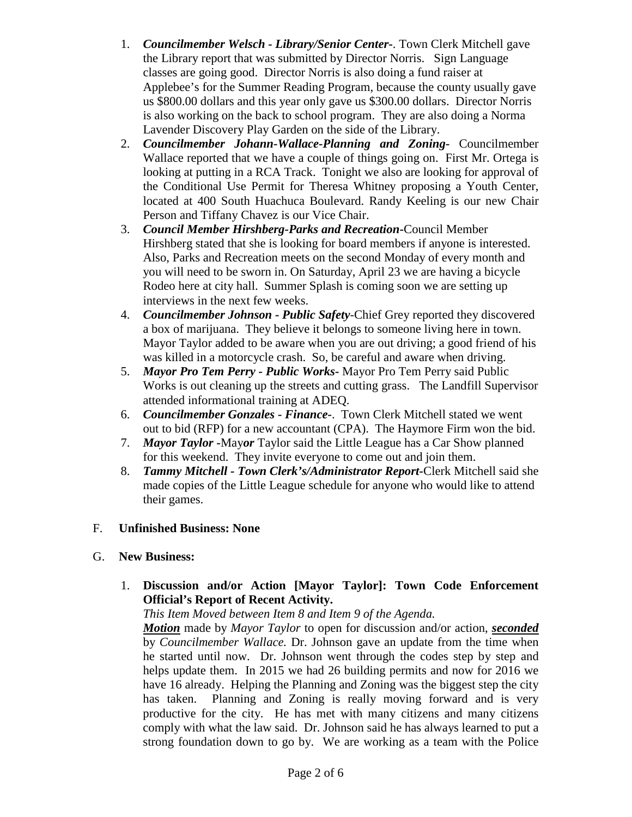- 1. *Councilmember Welsch - Library/Senior Center***-**. Town Clerk Mitchell gave the Library report that was submitted by Director Norris. Sign Language classes are going good. Director Norris is also doing a fund raiser at Applebee's for the Summer Reading Program, because the county usually gave us \$800.00 dollars and this year only gave us \$300.00 dollars. Director Norris is also working on the back to school program. They are also doing a Norma Lavender Discovery Play Garden on the side of the Library.
- 2. *Councilmember Johann-Wallace-Planning and Zoning***-** Councilmember Wallace reported that we have a couple of things going on. First Mr. Ortega is looking at putting in a RCA Track. Tonight we also are looking for approval of the Conditional Use Permit for Theresa Whitney proposing a Youth Center, located at 400 South Huachuca Boulevard. Randy Keeling is our new Chair Person and Tiffany Chavez is our Vice Chair.
- 3. *Council Member Hirshberg-Parks and Recreation***-**Council Member Hirshberg stated that she is looking for board members if anyone is interested. Also, Parks and Recreation meets on the second Monday of every month and you will need to be sworn in. On Saturday, April 23 we are having a bicycle Rodeo here at city hall. Summer Splash is coming soon we are setting up interviews in the next few weeks.
- 4. *Councilmember Johnson - Public Safety-*Chief Grey reported they discovered a box of marijuana. They believe it belongs to someone living here in town. Mayor Taylor added to be aware when you are out driving; a good friend of his was killed in a motorcycle crash. So, be careful and aware when driving.
- 5. *Mayor Pro Tem Perry - Public Works-* Mayor Pro Tem Perry said Public Works is out cleaning up the streets and cutting grass. The Landfill Supervisor attended informational training at ADEQ.
- 6. *Councilmember Gonzales - Finance-*. Town Clerk Mitchell stated we went out to bid (RFP) for a new accountant (CPA). The Haymore Firm won the bid.
- 7. *Mayor Taylor -*May*or* Taylor said the Little League has a Car Show planned for this weekend. They invite everyone to come out and join them.
- 8. *Tammy Mitchell - Town Clerk's/Administrator Report-*Clerk Mitchell said she made copies of the Little League schedule for anyone who would like to attend their games.

## F. **Unfinished Business: None**

## G. **New Business:**

1. **Discussion and/or Action [Mayor Taylor]: Town Code Enforcement Official's Report of Recent Activity.**

*This Item Moved between Item 8 and Item 9 of the Agenda.*

*Motion* made by *Mayor Taylor* to open for discussion and/or action, *seconded* by *Councilmember Wallace.* Dr. Johnson gave an update from the time when he started until now. Dr. Johnson went through the codes step by step and helps update them. In 2015 we had 26 building permits and now for 2016 we have 16 already. Helping the Planning and Zoning was the biggest step the city has taken. Planning and Zoning is really moving forward and is very productive for the city. He has met with many citizens and many citizens comply with what the law said. Dr. Johnson said he has always learned to put a strong foundation down to go by. We are working as a team with the Police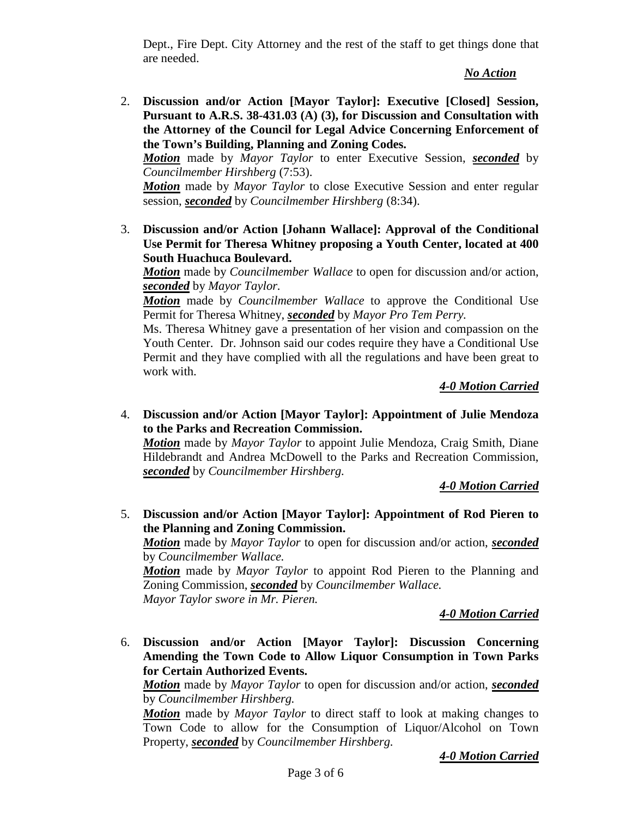Dept., Fire Dept. City Attorney and the rest of the staff to get things done that are needed.

*No Action*

2. **Discussion and/or Action [Mayor Taylor]: Executive [Closed] Session, Pursuant to A.R.S. 38-431.03 (A) (3), for Discussion and Consultation with the Attorney of the Council for Legal Advice Concerning Enforcement of the Town's Building, Planning and Zoning Codes.**

*Motion* made by *Mayor Taylor* to enter Executive Session, *seconded* by *Councilmember Hirshberg* (7:53).

*Motion* made by *Mayor Taylor* to close Executive Session and enter regular session, *seconded* by *Councilmember Hirshberg* (8:34).

3. **Discussion and/or Action [Johann Wallace]: Approval of the Conditional Use Permit for Theresa Whitney proposing a Youth Center, located at 400 South Huachuca Boulevard.** 

*Motion* made by *Councilmember Wallace* to open for discussion and/or action, *seconded* by *Mayor Taylor.*

*Motion* made by *Councilmember Wallace* to approve the Conditional Use Permit for Theresa Whitney, *seconded* by *Mayor Pro Tem Perry.*

Ms. Theresa Whitney gave a presentation of her vision and compassion on the Youth Center. Dr. Johnson said our codes require they have a Conditional Use Permit and they have complied with all the regulations and have been great to work with.

*4-0 Motion Carried*

4. **Discussion and/or Action [Mayor Taylor]: Appointment of Julie Mendoza to the Parks and Recreation Commission.** 

*Motion* made by *Mayor Taylor* to appoint Julie Mendoza, Craig Smith, Diane Hildebrandt and Andrea McDowell to the Parks and Recreation Commission, *seconded* by *Councilmember Hirshberg.*

*4-0 Motion Carried*

5. **Discussion and/or Action [Mayor Taylor]: Appointment of Rod Pieren to the Planning and Zoning Commission.**

*Motion* made by *Mayor Taylor* to open for discussion and/or action, *seconded* by *Councilmember Wallace.*

*Motion* made by *Mayor Taylor* to appoint Rod Pieren to the Planning and Zoning Commission, *seconded* by *Councilmember Wallace. Mayor Taylor swore in Mr. Pieren.*

*4-0 Motion Carried*

6. **Discussion and/or Action [Mayor Taylor]: Discussion Concerning Amending the Town Code to Allow Liquor Consumption in Town Parks for Certain Authorized Events.** 

*Motion* made by *Mayor Taylor* to open for discussion and/or action, *seconded* by *Councilmember Hirshberg.*

*Motion* made by *Mayor Taylor* to direct staff to look at making changes to Town Code to allow for the Consumption of Liquor/Alcohol on Town Property, *seconded* by *Councilmember Hirshberg.*

*4-0 Motion Carried*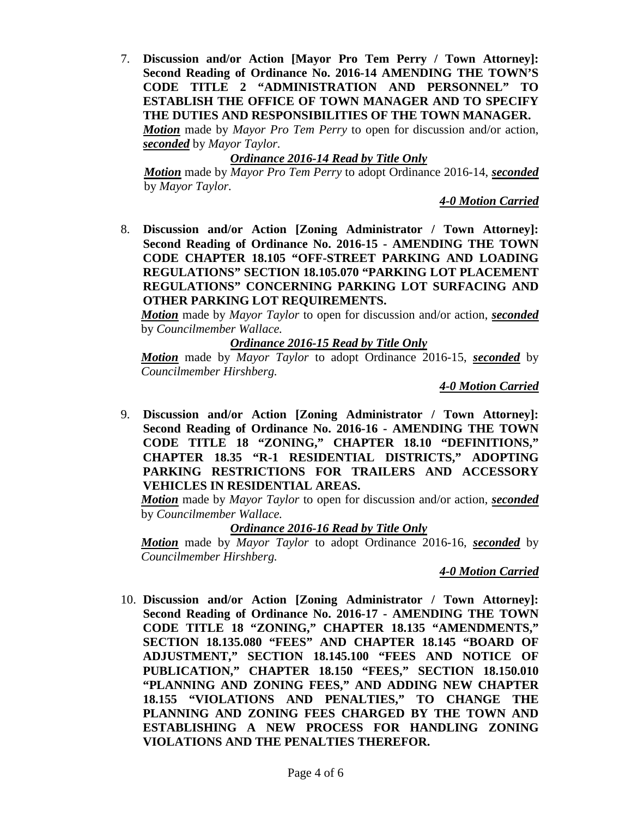7. **Discussion and/or Action [Mayor Pro Tem Perry / Town Attorney]: Second Reading of Ordinance No. 2016-14 AMENDING THE TOWN'S CODE TITLE 2 "ADMINISTRATION AND PERSONNEL" TO ESTABLISH THE OFFICE OF TOWN MANAGER AND TO SPECIFY THE DUTIES AND RESPONSIBILITIES OF THE TOWN MANAGER.** *Motion* made by *Mayor Pro Tem Perry* to open for discussion and/or action, *seconded* by *Mayor Taylor.*

*Ordinance 2016-14 Read by Title Only*

*Motion* made by *Mayor Pro Tem Perry* to adopt Ordinance 2016-14, *seconded* by *Mayor Taylor.*

*4-0 Motion Carried*

8. **Discussion and/or Action [Zoning Administrator / Town Attorney]: Second Reading of Ordinance No. 2016-15 - AMENDING THE TOWN CODE CHAPTER 18.105 "OFF-STREET PARKING AND LOADING REGULATIONS" SECTION 18.105.070 "PARKING LOT PLACEMENT REGULATIONS" CONCERNING PARKING LOT SURFACING AND OTHER PARKING LOT REQUIREMENTS.**

*Motion* made by *Mayor Taylor* to open for discussion and/or action, *seconded* by *Councilmember Wallace.*

## *Ordinance 2016-15 Read by Title Only*

*Motion* made by *Mayor Taylor* to adopt Ordinance 2016-15, *seconded* by *Councilmember Hirshberg.*

*4-0 Motion Carried*

9. **Discussion and/or Action [Zoning Administrator / Town Attorney]: Second Reading of Ordinance No. 2016-16 - AMENDING THE TOWN CODE TITLE 18 "ZONING," CHAPTER 18.10 "DEFINITIONS," CHAPTER 18.35 "R-1 RESIDENTIAL DISTRICTS," ADOPTING PARKING RESTRICTIONS FOR TRAILERS AND ACCESSORY VEHICLES IN RESIDENTIAL AREAS.**

*Motion* made by *Mayor Taylor* to open for discussion and/or action, *seconded* by *Councilmember Wallace.*

## *Ordinance 2016-16 Read by Title Only*

*Motion* made by *Mayor Taylor* to adopt Ordinance 2016-16, *seconded* by *Councilmember Hirshberg.*

#### *4-0 Motion Carried*

10. **Discussion and/or Action [Zoning Administrator / Town Attorney]: Second Reading of Ordinance No. 2016-17 - AMENDING THE TOWN CODE TITLE 18 "ZONING," CHAPTER 18.135 "AMENDMENTS," SECTION 18.135.080 "FEES" AND CHAPTER 18.145 "BOARD OF ADJUSTMENT," SECTION 18.145.100 "FEES AND NOTICE OF PUBLICATION," CHAPTER 18.150 "FEES," SECTION 18.150.010 "PLANNING AND ZONING FEES," AND ADDING NEW CHAPTER 18.155 "VIOLATIONS AND PENALTIES," TO CHANGE THE PLANNING AND ZONING FEES CHARGED BY THE TOWN AND ESTABLISHING A NEW PROCESS FOR HANDLING ZONING VIOLATIONS AND THE PENALTIES THEREFOR.**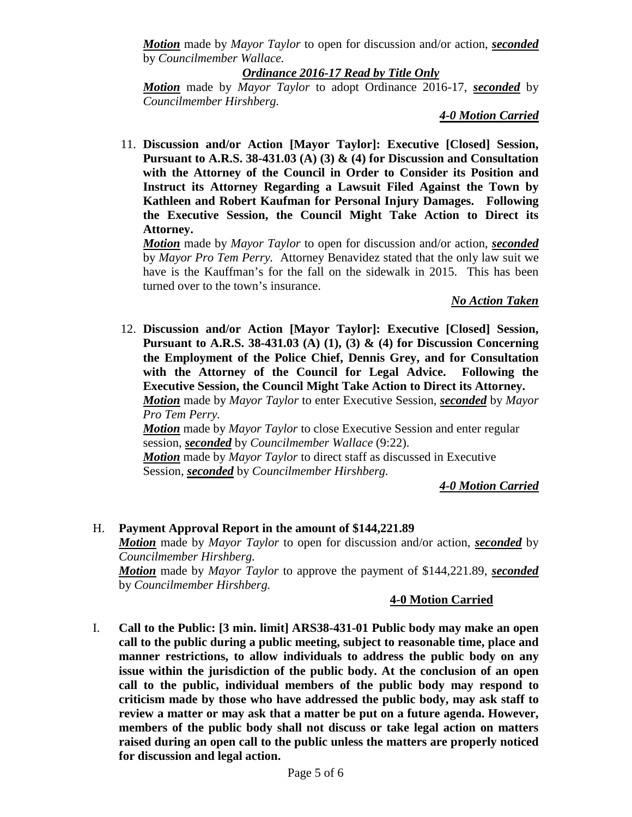*Motion* made by *Mayor Taylor* to open for discussion and/or action, *seconded* by *Councilmember Wallace.*

#### *Ordinance 2016-17 Read by Title Only*

*Motion* made by *Mayor Taylor* to adopt Ordinance 2016-17, *seconded* by *Councilmember Hirshberg.*

### *4-0 Motion Carried*

11. **Discussion and/or Action [Mayor Taylor]: Executive [Closed] Session, Pursuant to A.R.S. 38-431.03 (A) (3) & (4) for Discussion and Consultation with the Attorney of the Council in Order to Consider its Position and Instruct its Attorney Regarding a Lawsuit Filed Against the Town by Kathleen and Robert Kaufman for Personal Injury Damages. Following the Executive Session, the Council Might Take Action to Direct its Attorney.** 

*Motion* made by *Mayor Taylor* to open for discussion and/or action, *seconded* by *Mayor Pro Tem Perry.* Attorney Benavidez stated that the only law suit we have is the Kauffman's for the fall on the sidewalk in 2015. This has been turned over to the town's insurance.

#### *No Action Taken*

12. **Discussion and/or Action [Mayor Taylor]: Executive [Closed] Session, Pursuant to A.R.S. 38-431.03 (A) (1), (3) & (4) for Discussion Concerning the Employment of the Police Chief, Dennis Grey, and for Consultation with the Attorney of the Council for Legal Advice. Following the Executive Session, the Council Might Take Action to Direct its Attorney.** *Motion* made by *Mayor Taylor* to enter Executive Session, *seconded* by *Mayor Pro Tem Perry. Motion* made by *Mayor Taylor* to close Executive Session and enter regular session, *seconded* by *Councilmember Wallace* (9:22).

*Motion* made by *Mayor Taylor* to direct staff as discussed in Executive Session, *seconded* by *Councilmember Hirshberg.*

*4-0 Motion Carried*

## H. **Payment Approval Report in the amount of \$144,221.89** *Motion* made by *Mayor Taylor* to open for discussion and/or action, *seconded* by *Councilmember Hirshberg. Motion* made by *Mayor Taylor* to approve the payment of \$144,221.89, *seconded* by *Councilmember Hirshberg.*

## **4-0 Motion Carried**

I. **Call to the Public: [3 min. limit] ARS38-431-01 Public body may make an open call to the public during a public meeting, subject to reasonable time, place and manner restrictions, to allow individuals to address the public body on any issue within the jurisdiction of the public body. At the conclusion of an open call to the public, individual members of the public body may respond to criticism made by those who have addressed the public body, may ask staff to review a matter or may ask that a matter be put on a future agenda. However, members of the public body shall not discuss or take legal action on matters raised during an open call to the public unless the matters are properly noticed for discussion and legal action.**